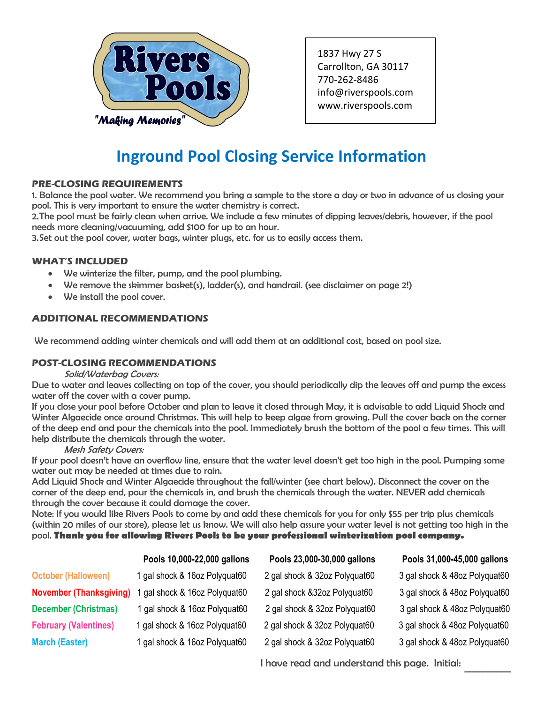

1837 Hwy 27 S Carrollton, GA 30117 770-262-8486 info@riverspools.com [www.riverspools.com](mailto:info@riverspools.com)

## **Inground Pool Closing Service Information**

## **PRE-CLOSING REQUIREMENTS**

1. Balance the pool water. We recommend you bring a sample to the store a day or two in advance of us closing your pool. This is very important to ensure the water chemistry is correct.

2.The pool must be fairly clean when arrive. We include a few minutes of dipping leaves/debris, however, if the pool needs more cleaning/vacuuming, add \$100 for up to an hour.

3.Set out the pool cover, water bags, winter plugs, etc. for us to easily access them.

## **WHAT'S INCLUDED**

- We winterize the filter, pump, and the pool plumbing.
- We remove the skimmer basket(s), ladder(s), and handrail. (see disclaimer on page 2!)
- We install the pool cover.

## **ADDITIONAL RECOMMENDATIONS**

We recommend adding winter chemicals and will add them at an additional cost, based on pool size.

## **POST-CLOSING RECOMMENDATIONS**

#### Solid/Waterbag Covers:

Due to water and leaves collecting on top of the cover, you should periodically dip the leaves off and pump the excess water off the cover with a cover pump.

If you close your pool before October and plan to leave it closed through May, it is advisable to add Liquid Shock and Winter Algaecide once around Christmas. This will help to keep algae from growing. Pull the cover back on the corner of the deep end and pour the chemicals into the pool. Immediately brush the bottom of the pool a few times. This will help distribute the chemicals through the water.

## Mesh Safety Covers:

If your pool doesn't have an overflow line, ensure that the water level doesn't get too high in the pool. Pumping some water out may be needed at times due to rain.

Add Liquid Shock and Winter Algaecide throughout the fall/winter (see chart below). Disconnect the cover on the corner of the deep end, pour the chemicals in, and brush the chemicals through the water. NEVER add chemicals through the cover because it could damage the cover.

Note: If you would like Rivers Pools to come by and add these chemicals for you for only \$55 per trip plus chemicals (within 20 miles of our store), please let us know. We will also help assure your water level is not getting too high in the pool. **Thank you for allowing Rivers Pools to be your professional winterization pool company.**

|                                | Pools 10,000-22,000 gallons   | Pools 23,000-30,000 gallons   | Pools 31,000-45,000 gallons   |
|--------------------------------|-------------------------------|-------------------------------|-------------------------------|
| <b>October (Halloween)</b>     | 1 gal shock & 16oz Polyquat60 | 2 gal shock & 32oz Polyquat60 | 3 gal shock & 48oz Polyquat60 |
| <b>November (Thanksgiving)</b> | gal shock & 16oz Polyquat60   | 2 gal shock & 32oz Polyquat60 | 3 gal shock & 48oz Polyquat60 |
| <b>December (Christmas)</b>    | 1 gal shock & 16oz Polyquat60 | 2 gal shock & 32oz Polyquat60 | 3 gal shock & 48oz Polyquat60 |
| <b>February (Valentines)</b>   | 1 gal shock & 16oz Polyquat60 | 2 gal shock & 32oz Polyquat60 | 3 gal shock & 48oz Polyquat60 |
| <b>March (Easter)</b>          | 1 gal shock & 16oz Polyquat60 | 2 gal shock & 32oz Polyquat60 | 3 gal shock & 48oz Polyquat60 |

I have read and understand this page. Initial:

 $\mathcal{L}=\mathcal{L}$